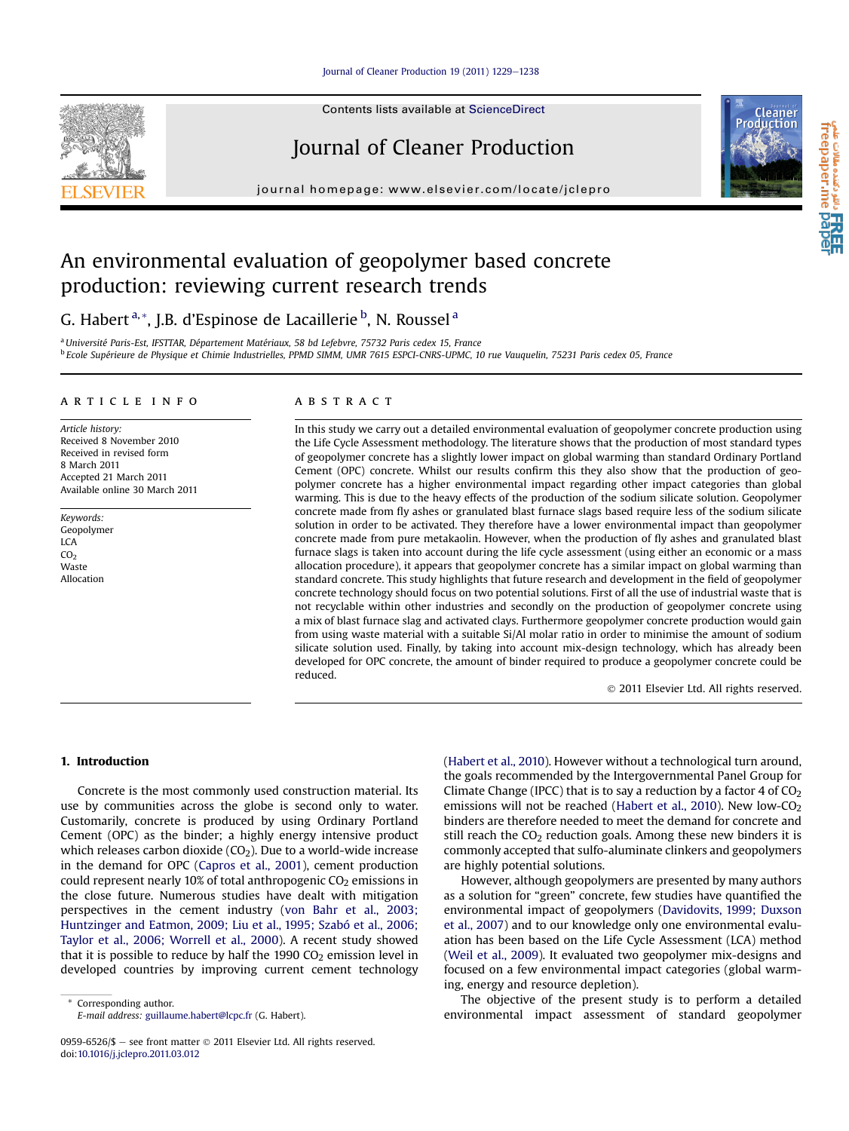#### [Journal of Cleaner Production 19 \(2011\) 1229](http://dx.doi.org/10.1016/j.jclepro.2011.03.012)-[1238](http://dx.doi.org/10.1016/j.jclepro.2011.03.012)

Contents lists available at ScienceDirect

# Journal of Cleaner Production

journal homepage: [www.elsevier.com/locate/jclepro](http://www.elsevier.com/locate/jclepro)

# An environmental evaluation of geopolymer based concrete production: reviewing current research trends

# G. Habert <sup>a, \*</sup>, J.B. d'Espinose de Lacaillerie <sup>b</sup>, N. Roussel <sup>a</sup>

<sup>a</sup> Université Paris-Est, IFSTTAR, Département Matériaux, 58 bd Lefebvre, 75732 Paris cedex 15, France <sup>b</sup> Ecole Supérieure de Physique et Chimie Industrielles, PPMD SIMM, UMR 7615 ESPCI-CNRS-UPMC, 10 rue Vauquelin, 75231 Paris cedex 05, France

#### article info

Article history: Received 8 November 2010 Received in revised form 8 March 2011 Accepted 21 March 2011 Available online 30 March 2011

Keywords: Geopolymer **LCA**  $CO<sub>2</sub>$ Waste Allocation

# ABSTRACT

In this study we carry out a detailed environmental evaluation of geopolymer concrete production using the Life Cycle Assessment methodology. The literature shows that the production of most standard types of geopolymer concrete has a slightly lower impact on global warming than standard Ordinary Portland Cement (OPC) concrete. Whilst our results confirm this they also show that the production of geopolymer concrete has a higher environmental impact regarding other impact categories than global warming. This is due to the heavy effects of the production of the sodium silicate solution. Geopolymer concrete made from fly ashes or granulated blast furnace slags based require less of the sodium silicate solution in order to be activated. They therefore have a lower environmental impact than geopolymer concrete made from pure metakaolin. However, when the production of fly ashes and granulated blast furnace slags is taken into account during the life cycle assessment (using either an economic or a mass allocation procedure), it appears that geopolymer concrete has a similar impact on global warming than standard concrete. This study highlights that future research and development in the field of geopolymer concrete technology should focus on two potential solutions. First of all the use of industrial waste that is not recyclable within other industries and secondly on the production of geopolymer concrete using a mix of blast furnace slag and activated clays. Furthermore geopolymer concrete production would gain from using waste material with a suitable Si/Al molar ratio in order to minimise the amount of sodium silicate solution used. Finally, by taking into account mix-design technology, which has already been developed for OPC concrete, the amount of binder required to produce a geopolymer concrete could be reduced.

2011 Elsevier Ltd. All rights reserved.

# 1. Introduction

Concrete is the most commonly used construction material. Its use by communities across the globe is second only to water. Customarily, concrete is produced by using Ordinary Portland Cement (OPC) as the binder; a highly energy intensive product which releases carbon dioxide  $(CO<sub>2</sub>)$ . Due to a world-wide increase in the demand for OPC [\(Capros et al., 2001](#page-8-0)), cement production could represent nearly 10% of total anthropogenic  $CO<sub>2</sub>$  emissions in the close future. Numerous studies have dealt with mitigation perspectives in the cement industry ([von Bahr et al., 2003;](#page-9-0) [Huntzinger and Eatmon, 2009; Liu et al., 1995; Szabó et al., 2006;](#page-9-0) [Taylor et al., 2006; Worrell et al., 2000](#page-9-0)). A recent study showed that it is possible to reduce by half the 1990  $CO<sub>2</sub>$  emission level in developed countries by improving current cement technology

Corresponding author. E-mail address: [guillaume.habert@lcpc.fr](mailto:guillaume.habert@lcpc.fr) (G. Habert). ([Habert et al., 2010](#page-8-0)). However without a technological turn around, the goals recommended by the Intergovernmental Panel Group for Climate Change (IPCC) that is to say a reduction by a factor 4 of  $CO<sub>2</sub>$ emissions will not be reached [\(Habert et al., 2010\)](#page-8-0). New low- $CO<sub>2</sub>$ binders are therefore needed to meet the demand for concrete and still reach the  $CO<sub>2</sub>$  reduction goals. Among these new binders it is commonly accepted that sulfo-aluminate clinkers and geopolymers are highly potential solutions.

However, although geopolymers are presented by many authors as a solution for "green" concrete, few studies have quantified the environmental impact of geopolymers [\(Davidovits, 1999; Duxson](#page-8-0) [et al., 2007\)](#page-8-0) and to our knowledge only one environmental evaluation has been based on the Life Cycle Assessment (LCA) method ([Weil et al., 2009\)](#page-9-0). It evaluated two geopolymer mix-designs and focused on a few environmental impact categories (global warming, energy and resource depletion).

The objective of the present study is to perform a detailed environmental impact assessment of standard geopolymer



**مان الداخل الثانية العامرية المالية العامرية على**<br>F**reepaper.me pape** 

<sup>0959-6526/\$ -</sup> see front matter  $\odot$  2011 Elsevier Ltd. All rights reserved. doi[:10.1016/j.jclepro.2011.03.012](http://dx.doi.org/10.1016/j.jclepro.2011.03.012)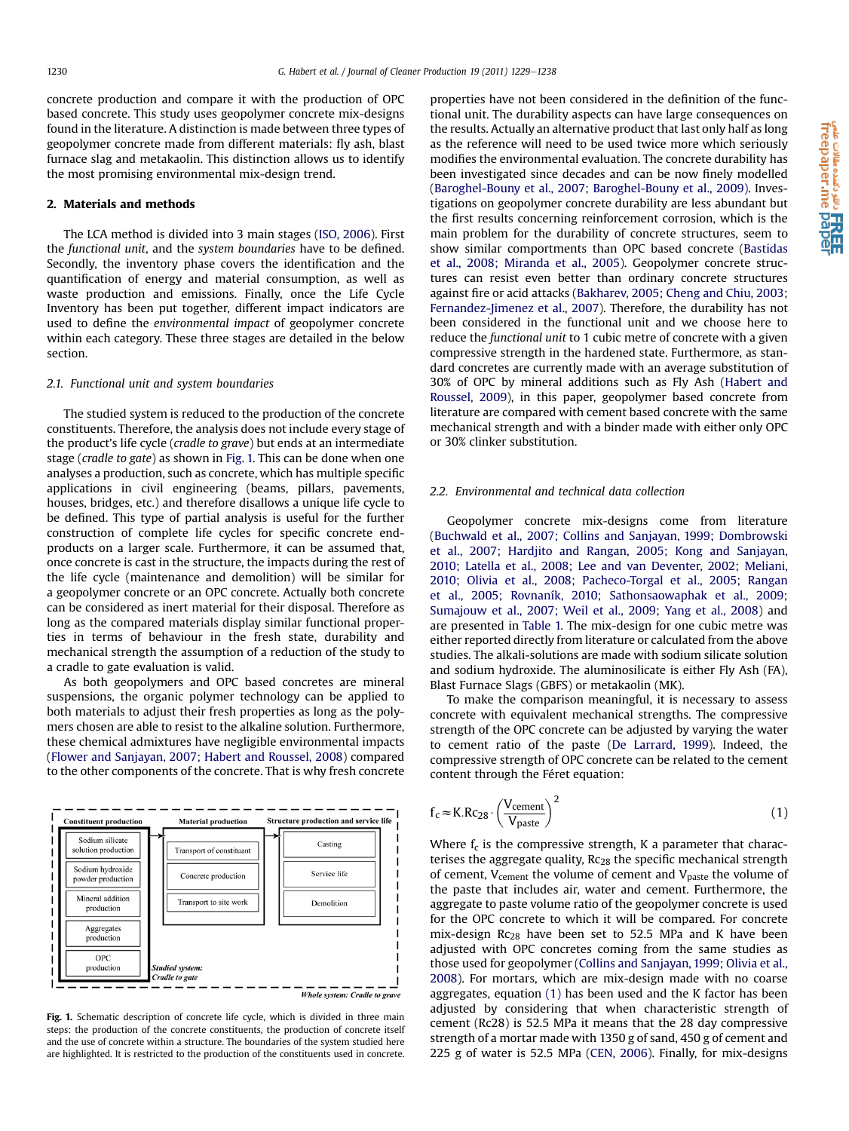<span id="page-1-0"></span>concrete production and compare it with the production of OPC based concrete. This study uses geopolymer concrete mix-designs found in the literature. A distinction is made between three types of geopolymer concrete made from different materials: fly ash, blast furnace slag and metakaolin. This distinction allows us to identify the most promising environmental mix-design trend.

#### 2. Materials and methods

The LCA method is divided into 3 main stages ([ISO, 2006\)](#page-9-0). First the functional unit, and the system boundaries have to be defined. Secondly, the inventory phase covers the identification and the quantification of energy and material consumption, as well as waste production and emissions. Finally, once the Life Cycle Inventory has been put together, different impact indicators are used to define the environmental impact of geopolymer concrete within each category. These three stages are detailed in the below section.

#### 2.1. Functional unit and system boundaries

The studied system is reduced to the production of the concrete constituents. Therefore, the analysis does not include every stage of the product's life cycle (cradle to grave) but ends at an intermediate stage (cradle to gate) as shown in Fig. 1. This can be done when one analyses a production, such as concrete, which has multiple specific applications in civil engineering (beams, pillars, pavements, houses, bridges, etc.) and therefore disallows a unique life cycle to be defined. This type of partial analysis is useful for the further construction of complete life cycles for specific concrete endproducts on a larger scale. Furthermore, it can be assumed that, once concrete is cast in the structure, the impacts during the rest of the life cycle (maintenance and demolition) will be similar for a geopolymer concrete or an OPC concrete. Actually both concrete can be considered as inert material for their disposal. Therefore as long as the compared materials display similar functional properties in terms of behaviour in the fresh state, durability and mechanical strength the assumption of a reduction of the study to a cradle to gate evaluation is valid.

As both geopolymers and OPC based concretes are mineral suspensions, the organic polymer technology can be applied to both materials to adjust their fresh properties as long as the polymers chosen are able to resist to the alkaline solution. Furthermore, these chemical admixtures have negligible environmental impacts ([Flower and Sanjayan, 2007; Habert and Roussel, 2008\)](#page-8-0) compared to the other components of the concrete. That is why fresh concrete



Fig. 1. Schematic description of concrete life cycle, which is divided in three main steps: the production of the concrete constituents, the production of concrete itself and the use of concrete within a structure. The boundaries of the system studied here are highlighted. It is restricted to the production of the constituents used in concrete.

properties have not been considered in the definition of the functional unit. The durability aspects can have large consequences on the results. Actually an alternative product that last only half as long as the reference will need to be used twice more which seriously modifies the environmental evaluation. The concrete durability has been investigated since decades and can be now finely modelled ([Baroghel-Bouny et al., 2007; Baroghel-Bouny et al., 2009\)](#page-8-0). Investigations on geopolymer concrete durability are less abundant but the first results concerning reinforcement corrosion, which is the main problem for the durability of concrete structures, seem to show similar comportments than OPC based concrete ([Bastidas](#page-8-0) [et al., 2008; Miranda et al., 2005\)](#page-8-0). Geopolymer concrete structures can resist even better than ordinary concrete structures against fire or acid attacks ([Bakharev, 2005; Cheng and Chiu, 2003;](#page-8-0) [Fernandez-Jimenez et al., 2007](#page-8-0)). Therefore, the durability has not been considered in the functional unit and we choose here to reduce the functional unit to 1 cubic metre of concrete with a given compressive strength in the hardened state. Furthermore, as standard concretes are currently made with an average substitution of 30% of OPC by mineral additions such as Fly Ash ([Habert and](#page-8-0) [Roussel, 2009\)](#page-8-0), in this paper, geopolymer based concrete from literature are compared with cement based concrete with the same mechanical strength and with a binder made with either only OPC or 30% clinker substitution.

#### 2.2. Environmental and technical data collection

Geopolymer concrete mix-designs come from literature ([Buchwald et al., 2007; Collins and Sanjayan, 1999; Dombrowski](#page-8-0) [et al., 2007; Hardjito and Rangan, 2005; Kong and Sanjayan,](#page-8-0) [2010; Latella et al., 2008; Lee and van Deventer, 2002; Meliani,](#page-8-0) [2010; Olivia et al., 2008; Pacheco-Torgal et al., 2005; Rangan](#page-8-0) [et al., 2005; Rovnaník, 2010; Sathonsaowaphak et al., 2009;](#page-8-0) [Sumajouw et al., 2007; Weil et al., 2009; Yang et al., 2008](#page-8-0)) and are presented in [Table 1.](#page-2-0) The mix-design for one cubic metre was either reported directly from literature or calculated from the above studies. The alkali-solutions are made with sodium silicate solution and sodium hydroxide. The aluminosilicate is either Fly Ash (FA), Blast Furnace Slags (GBFS) or metakaolin (MK).

To make the comparison meaningful, it is necessary to assess concrete with equivalent mechanical strengths. The compressive strength of the OPC concrete can be adjusted by varying the water to cement ratio of the paste [\(De Larrard, 1999](#page-8-0)). Indeed, the compressive strength of OPC concrete can be related to the cement content through the Féret equation:

$$
f_c \approx K.Rc_{28} \cdot \left(\frac{V_{\text{cement}}}{V_{\text{paste}}}\right)^2
$$
 (1)

Where  $f_c$  is the compressive strength, K a parameter that characterises the aggregate quality,  $Rc_{28}$  the specific mechanical strength of cement,  $V_{\text{cement}}$  the volume of cement and  $V_{\text{paste}}$  the volume of the paste that includes air, water and cement. Furthermore, the aggregate to paste volume ratio of the geopolymer concrete is used for the OPC concrete to which it will be compared. For concrete mix-design  $Rc_{28}$  have been set to 52.5 MPa and K have been adjusted with OPC concretes coming from the same studies as those used for geopolymer [\(Collins and Sanjayan, 1999; Olivia et al.,](#page-8-0) [2008](#page-8-0)). For mortars, which are mix-design made with no coarse aggregates, equation (1) has been used and the K factor has been adjusted by considering that when characteristic strength of cement (Rc28) is 52.5 MPa it means that the 28 day compressive strength of a mortar made with 1350 g of sand, 450 g of cement and 225 g of water is 52.5 MPa [\(CEN, 2006](#page-8-0)). Finally, for mix-designs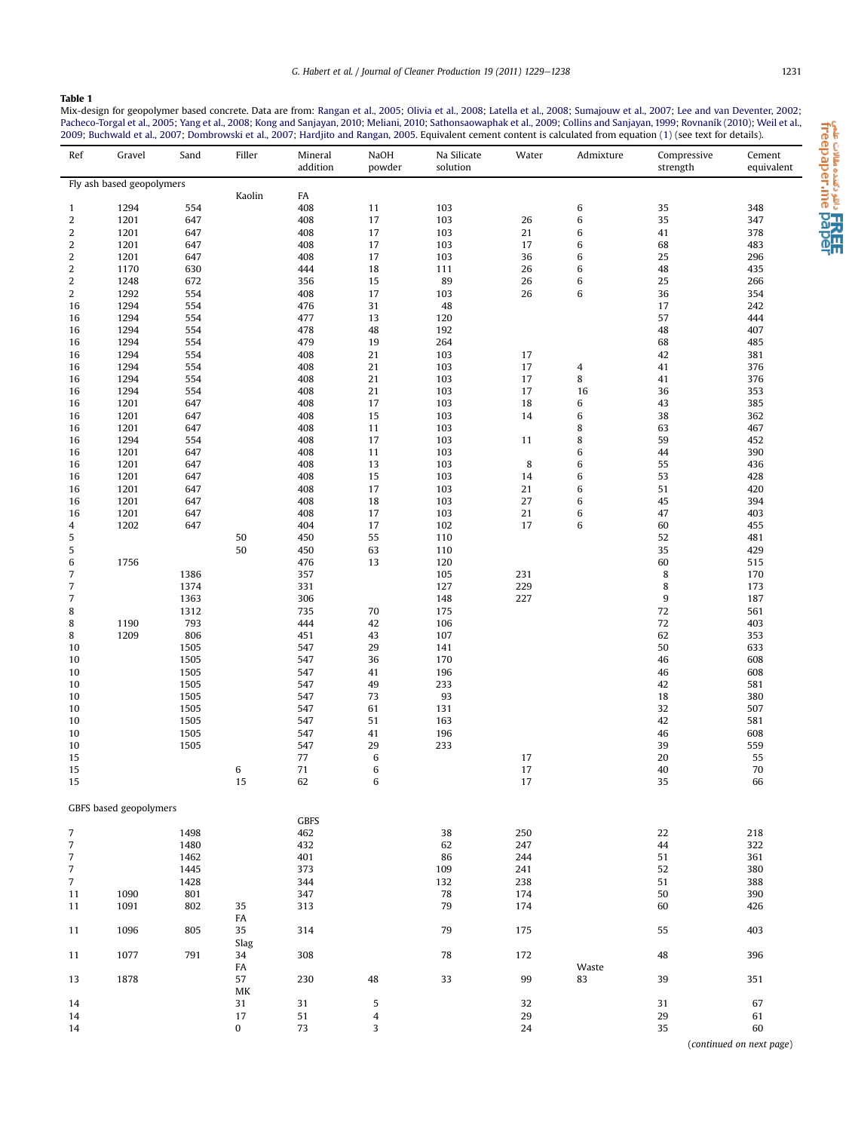## <span id="page-2-0"></span>Table 1

Mix-design for geopolymer based concrete. Data are from: [Rangan et al., 2005](#page-9-0); [Olivia et al., 2008](#page-9-0); [Latella et al., 2008;](#page-9-0) [Sumajouw et al., 2007](#page-9-0); [Lee and van Deventer, 2002](#page-9-0); [Pacheco-Torgal et al., 2005](#page-9-0); [Yang et al., 2008](#page-9-0); [Kong and Sanjayan, 2010;](#page-9-0) [Meliani, 2010](#page-9-0); [Sathonsaowaphak et al., 2009](#page-9-0); [Collins and Sanjayan, 1999](#page-8-0); [Rovnaník \(2010\)](#page-9-0); [Weil et al.,](#page-9-0) [2009;](#page-9-0) [Buchwald et al., 2007](#page-8-0); [Dombrowski et al., 2007;](#page-8-0) [Hardjito and Rangan, 2005.](#page-8-0) Equivalent cement content is calculated from equation [\(1\)](#page-1-0) (see text for details).

| Ref                 | Gravel                    | Sand         | Filler                           | Mineral<br>addition | <b>NaOH</b><br>powder   | Na Silicate<br>solution | Water      | Admixture | Compressive<br>strength | Cement<br>equivalent |
|---------------------|---------------------------|--------------|----------------------------------|---------------------|-------------------------|-------------------------|------------|-----------|-------------------------|----------------------|
|                     | Fly ash based geopolymers |              |                                  |                     |                         |                         |            |           |                         |                      |
| $\mathbf{1}$        | 1294                      | 554          | Kaolin                           | FA<br>408           | 11                      | 103                     |            | 6         | 35                      | 348                  |
| $\overline{a}$      | 1201                      | 647          |                                  | 408                 | 17                      | 103                     | 26         | 6         | 35                      | 347                  |
| $\overline{c}$      | 1201                      | 647          |                                  | 408                 | 17                      | 103                     | 21         | 6         | 41                      | 378                  |
| $\overline{c}$      | 1201                      | 647          |                                  | 408                 | 17                      | 103                     | 17         | 6         | 68                      | 483                  |
| $\overline{c}$      | 1201                      | 647          |                                  | 408                 | 17                      | 103                     | 36         | 6         | 25                      | 296                  |
| $\overline{a}$      | 1170                      | 630          |                                  | 444                 | 18                      | 111                     | 26         | 6         | 48                      | 435                  |
| 2                   | 1248                      | 672          |                                  | 356                 | 15                      | 89                      | 26         | 6         | 25                      | 266                  |
| $\overline{a}$      | 1292                      | 554          |                                  | 408                 | 17                      | 103                     | 26         | 6         | 36                      | 354                  |
| 16                  | 1294                      | 554          |                                  | 476                 | 31                      | 48                      |            |           | 17                      | 242                  |
| 16<br>16            | 1294<br>1294              | 554<br>554   |                                  | 477<br>478          | 13<br>48                | 120<br>192              |            |           | 57<br>48                | 444<br>407           |
| 16                  | 1294                      | 554          |                                  | 479                 | 19                      | 264                     |            |           | 68                      | 485                  |
| 16                  | 1294                      | 554          |                                  | 408                 | 21                      | 103                     | 17         |           | 42                      | 381                  |
| 16                  | 1294                      | 554          |                                  | 408                 | 21                      | 103                     | 17         | 4         | 41                      | 376                  |
| 16                  | 1294                      | 554          |                                  | 408                 | 21                      | 103                     | 17         | 8         | 41                      | 376                  |
| 16                  | 1294                      | 554          |                                  | 408                 | 21                      | 103                     | 17         | 16        | 36                      | 353                  |
| 16                  | 1201                      | 647          |                                  | 408                 | 17                      | 103                     | 18         | 6         | 43                      | 385                  |
| 16                  | 1201                      | 647          |                                  | 408                 | 15                      | 103                     | 14         | 6         | 38                      | 362                  |
| 16                  | 1201                      | 647          |                                  | 408                 | 11                      | 103                     |            | 8         | 63                      | 467                  |
| 16                  | 1294                      | 554          |                                  | 408                 | 17                      | 103                     | 11         | 8         | 59                      | 452                  |
| 16                  | 1201                      | 647          |                                  | 408                 | 11                      | 103                     |            | 6         | 44                      | 390                  |
| 16                  | 1201                      | 647          |                                  | 408                 | 13                      | 103                     | 8          | 6         | 55                      | 436                  |
| 16                  | 1201                      | 647          |                                  | 408                 | 15                      | 103                     | 14         | 6         | 53                      | 428                  |
| 16                  | 1201                      | 647          |                                  | 408                 | 17                      | 103                     | 21         | 6         | 51                      | 420                  |
| 16                  | 1201                      | 647          |                                  | 408                 | 18                      | 103                     | 27         | 6         | 45                      | 394                  |
| 16                  | 1201                      | 647          |                                  | 408                 | 17                      | 103                     | 21         | 6         | 47                      | 403                  |
| 4                   | 1202                      | 647          |                                  | 404                 | 17                      | 102                     | 17         | 6         | 60                      | 455                  |
| 5                   |                           |              | 50                               | 450                 | 55                      | 110                     |            |           | 52                      | 481                  |
| 5                   |                           |              | 50                               | 450                 | 63                      | 110                     |            |           | 35                      | 429                  |
| 6                   | 1756                      |              |                                  | 476                 | 13                      | 120                     |            |           | 60                      | 515                  |
| 7<br>$\overline{7}$ |                           | 1386<br>1374 |                                  | 357<br>331          |                         | 105<br>127              | 231<br>229 |           | 8<br>8                  | 170<br>173           |
| $\overline{7}$      |                           | 1363         |                                  | 306                 |                         | 148                     | 227        |           | 9                       | 187                  |
| 8                   |                           | 1312         |                                  | 735                 | $70\,$                  | 175                     |            |           | 72                      | 561                  |
| 8                   | 1190                      | 793          |                                  | 444                 | 42                      | 106                     |            |           | 72                      | 403                  |
| 8                   | 1209                      | 806          |                                  | 451                 | 43                      | 107                     |            |           | 62                      | 353                  |
| 10                  |                           | 1505         |                                  | 547                 | 29                      | 141                     |            |           | 50                      | 633                  |
| 10                  |                           | 1505         |                                  | 547                 | 36                      | 170                     |            |           | 46                      | 608                  |
| 10                  |                           | 1505         |                                  | 547                 | 41                      | 196                     |            |           | 46                      | 608                  |
| 10                  |                           | 1505         |                                  | 547                 | 49                      | 233                     |            |           | 42                      | 581                  |
| 10                  |                           | 1505         |                                  | 547                 | 73                      | 93                      |            |           | 18                      | 380                  |
| 10                  |                           | 1505         |                                  | 547                 | 61                      | 131                     |            |           | 32                      | 507                  |
| 10                  |                           | 1505         |                                  | 547                 | 51                      | 163                     |            |           | 42                      | 581                  |
| 10                  |                           | 1505         |                                  | 547                 | 41                      | 196                     |            |           | 46                      | 608                  |
| 10<br>15            |                           | 1505         |                                  | 547<br>77           | 29<br>6                 | 233                     | 17         |           | 39<br>20                | 559<br>55            |
| 15                  |                           |              | 6                                | 71                  | 6                       |                         | 17         |           | 40                      | 70                   |
| 15                  |                           |              | 15                               | 62                  | 6                       |                         | $17\,$     |           | 35                      | 66                   |
|                     |                           |              |                                  |                     |                         |                         |            |           |                         |                      |
|                     | GBFS based geopolymers    |              |                                  |                     |                         |                         |            |           |                         |                      |
|                     |                           |              |                                  | GBFS                |                         |                         |            |           |                         |                      |
| $\overline{7}$      |                           | 1498         |                                  | 462                 |                         | 38                      | 250        |           | 22                      | 218                  |
| $\sqrt{ }$          |                           | 1480         |                                  | 432                 |                         | 62                      | 247        |           | 44                      | 322                  |
| $\overline{7}$      |                           | 1462         |                                  | 401                 |                         | 86                      | 244        |           | 51                      | 361                  |
| $\overline{7}$      |                           | 1445         |                                  | 373                 |                         | 109                     | 241        |           | 52                      | 380                  |
| $\overline{7}$      |                           | 1428         |                                  | 344                 |                         | 132                     | 238        |           | 51                      | 388                  |
| 11                  | 1090                      | 801          |                                  | 347                 |                         | 78                      | 174        |           | 50                      | 390                  |
| 11                  | 1091                      | 802          | 35                               | 313                 |                         | 79                      | 174        |           | 60                      | 426                  |
| 11                  | 1096                      | 805          | FA<br>35<br>Slag                 | 314                 |                         | 79                      | 175        |           | 55                      | 403                  |
| 11                  | 1077                      | 791          | 34<br>FA                         | 308                 |                         | 78                      | 172        | Waste     | 48                      | 396                  |
| 13                  | 1878                      |              | 57<br>$\ensuremath{\mathsf{MK}}$ | 230                 | $\sqrt{48}$             | 33                      | 99         | 83        | 39                      | 351                  |
| 14                  |                           |              | 31                               | 31                  | 5                       |                         | 32         |           | 31                      | 67                   |
| 14                  |                           |              | 17                               | 51                  | $\overline{\mathbf{4}}$ |                         | 29         |           | 29                      | 61                   |
| 14                  |                           |              | 0                                | 73                  | 3                       |                         | 24         |           | 35                      | 60                   |

TREE المردكة مقالات علمي<br>freepaper.me paper

(continued on next page)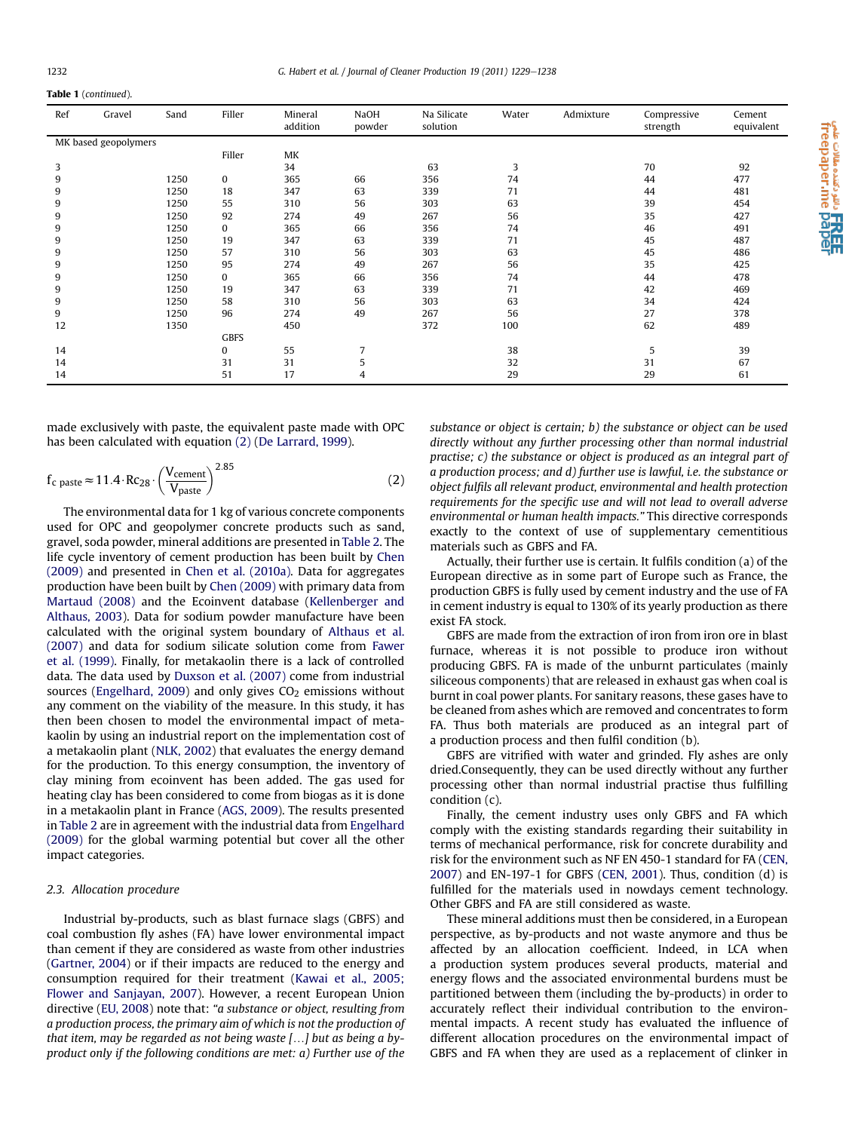Table 1 (continued).

| Ref | Gravel               | Sand | Filler       | Mineral<br>addition | <b>NaOH</b><br>powder | Na Silicate<br>solution | Water | Admixture | Compressive<br>strength | Cement<br>equivalent |
|-----|----------------------|------|--------------|---------------------|-----------------------|-------------------------|-------|-----------|-------------------------|----------------------|
|     |                      |      |              |                     |                       |                         |       |           |                         |                      |
|     | MK based geopolymers |      |              |                     |                       |                         |       |           |                         |                      |
|     |                      |      | Filler       | MK                  |                       |                         |       |           |                         |                      |
| 3   |                      |      |              | 34                  |                       | 63                      | 3     |           | 70                      | 92                   |
| 9   |                      | 1250 | $\mathbf{0}$ | 365                 | 66                    | 356                     | 74    |           | 44                      | 477                  |
| 9   |                      | 1250 | 18           | 347                 | 63                    | 339                     | 71    |           | 44                      | 481                  |
| 9   |                      | 1250 | 55           | 310                 | 56                    | 303                     | 63    |           | 39                      | 454                  |
| 9   |                      | 1250 | 92           | 274                 | 49                    | 267                     | 56    |           | 35                      | 427                  |
| 9   |                      | 1250 | 0            | 365                 | 66                    | 356                     | 74    |           | 46                      | 491                  |
| 9   |                      | 1250 | 19           | 347                 | 63                    | 339                     | 71    |           | 45                      | 487                  |
| 9   |                      | 1250 | 57           | 310                 | 56                    | 303                     | 63    |           | 45                      | 486                  |
| 9   |                      | 1250 | 95           | 274                 | 49                    | 267                     | 56    |           | 35                      | 425                  |
| 9   |                      | 1250 | 0            | 365                 | 66                    | 356                     | 74    |           | 44                      | 478                  |
| 9   |                      | 1250 | 19           | 347                 | 63                    | 339                     | 71    |           | 42                      | 469                  |
| 9   |                      | 1250 | 58           | 310                 | 56                    | 303                     | 63    |           | 34                      | 424                  |
| 9   |                      | 1250 | 96           | 274                 | 49                    | 267                     | 56    |           | 27                      | 378                  |
| 12  |                      | 1350 |              | 450                 |                       | 372                     | 100   |           | 62                      | 489                  |
|     |                      |      | <b>GBFS</b>  |                     |                       |                         |       |           |                         |                      |
| 14  |                      |      | 0            | 55                  | 7                     |                         | 38    |           | 5                       | 39                   |
| 14  |                      |      | 31           | 31                  | 5                     |                         | 32    |           | 31                      | 67                   |
| 14  |                      |      | 51           | 17                  | 4                     |                         | 29    |           | 29                      | 61                   |

made exclusively with paste, the equivalent paste made with OPC has been calculated with equation (2) ([De Larrard, 1999\)](#page-8-0).

$$
f_{c\\{paste}} \approx 11.4 \cdot RC_{28} \cdot \left(\frac{V_{cement}}{V_{paste}}\right)^{2.85}
$$
 (2)

The environmental data for 1 kg of various concrete components used for OPC and geopolymer concrete products such as sand, gravel, soda powder, mineral additions are presented in [Table 2](#page-5-0). The life cycle inventory of cement production has been built by [Chen](#page-8-0) [\(2009\)](#page-8-0) and presented in [Chen et al. \(2010a\).](#page-8-0) Data for aggregates production have been built by [Chen \(2009\)](#page-8-0) with primary data from [Martaud \(2008\)](#page-9-0) and the Ecoinvent database [\(Kellenberger and](#page-9-0) [Althaus, 2003\)](#page-9-0). Data for sodium powder manufacture have been calculated with the original system boundary of [Althaus et al.](#page-8-0) [\(2007\)](#page-8-0) and data for sodium silicate solution come from [Fawer](#page-8-0) [et al. \(1999\)](#page-8-0). Finally, for metakaolin there is a lack of controlled data. The data used by [Duxson et al. \(2007\)](#page-8-0) come from industrial sources [\(Engelhard, 2009\)](#page-8-0) and only gives  $CO<sub>2</sub>$  emissions without any comment on the viability of the measure. In this study, it has then been chosen to model the environmental impact of metakaolin by using an industrial report on the implementation cost of a metakaolin plant [\(NLK, 2002\)](#page-9-0) that evaluates the energy demand for the production. To this energy consumption, the inventory of clay mining from ecoinvent has been added. The gas used for heating clay has been considered to come from biogas as it is done in a metakaolin plant in France [\(AGS, 2009\)](#page-8-0). The results presented in [Table 2](#page-5-0) are in agreement with the industrial data from [Engelhard](#page-8-0) [\(2009\)](#page-8-0) for the global warming potential but cover all the other impact categories.

#### 2.3. Allocation procedure

Industrial by-products, such as blast furnace slags (GBFS) and coal combustion fly ashes (FA) have lower environmental impact than cement if they are considered as waste from other industries ([Gartner, 2004\)](#page-8-0) or if their impacts are reduced to the energy and consumption required for their treatment [\(Kawai et al., 2005;](#page-9-0) [Flower and Sanjayan, 2007](#page-9-0)). However, a recent European Union directive ([EU, 2008\)](#page-8-0) note that: "a substance or object, resulting from a production process, the primary aim of which is not the production of that item, may be regarded as not being waste  $[...]$  but as being a byproduct only if the following conditions are met: a) Further use of the substance or object is certain; b) the substance or object can be used directly without any further processing other than normal industrial practise; c) the substance or object is produced as an integral part of a production process; and d) further use is lawful, i.e. the substance or object fulfils all relevant product, environmental and health protection requirements for the specific use and will not lead to overall adverse environmental or human health impacts." This directive corresponds exactly to the context of use of supplementary cementitious materials such as GBFS and FA.

Actually, their further use is certain. It fulfils condition (a) of the European directive as in some part of Europe such as France, the production GBFS is fully used by cement industry and the use of FA in cement industry is equal to 130% of its yearly production as there exist FA stock.

GBFS are made from the extraction of iron from iron ore in blast furnace, whereas it is not possible to produce iron without producing GBFS. FA is made of the unburnt particulates (mainly siliceous components) that are released in exhaust gas when coal is burnt in coal power plants. For sanitary reasons, these gases have to be cleaned from ashes which are removed and concentrates to form FA. Thus both materials are produced as an integral part of a production process and then fulfil condition (b).

GBFS are vitrified with water and grinded. Fly ashes are only dried.Consequently, they can be used directly without any further processing other than normal industrial practise thus fulfilling condition (c).

Finally, the cement industry uses only GBFS and FA which comply with the existing standards regarding their suitability in terms of mechanical performance, risk for concrete durability and risk for the environment such as NF EN 450-1 standard for FA [\(CEN,](#page-8-0) [2007\)](#page-8-0) and EN-197-1 for GBFS ([CEN, 2001](#page-8-0)). Thus, condition (d) is fulfilled for the materials used in nowdays cement technology. Other GBFS and FA are still considered as waste.

These mineral additions must then be considered, in a European perspective, as by-products and not waste anymore and thus be affected by an allocation coefficient. Indeed, in LCA when a production system produces several products, material and energy flows and the associated environmental burdens must be partitioned between them (including the by-products) in order to accurately reflect their individual contribution to the environmental impacts. A recent study has evaluated the influence of different allocation procedures on the environmental impact of GBFS and FA when they are used as a replacement of clinker in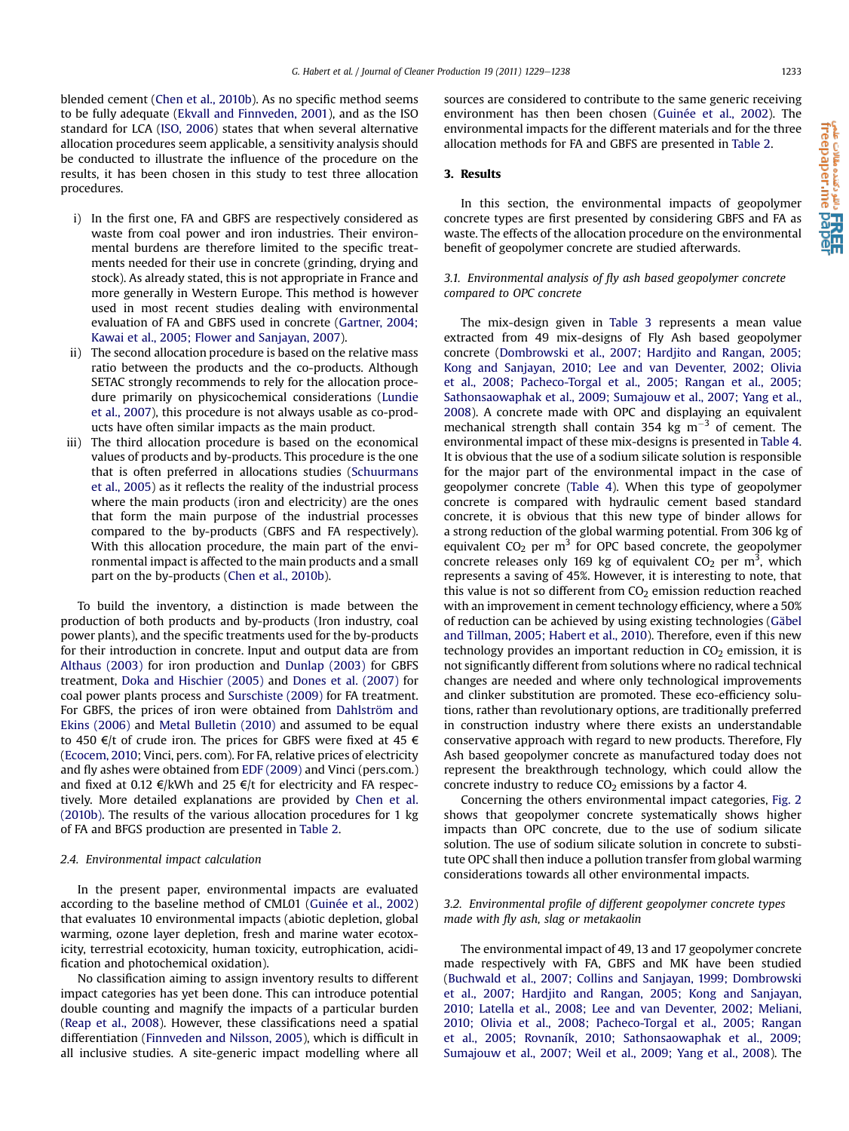blended cement [\(Chen et al., 2010b\)](#page-8-0). As no specific method seems to be fully adequate ([Ekvall and Finnveden, 2001](#page-8-0)), and as the ISO standard for LCA ([ISO, 2006\)](#page-9-0) states that when several alternative allocation procedures seem applicable, a sensitivity analysis should be conducted to illustrate the influence of the procedure on the results, it has been chosen in this study to test three allocation procedures.

- i) In the first one, FA and GBFS are respectively considered as waste from coal power and iron industries. Their environmental burdens are therefore limited to the specific treatments needed for their use in concrete (grinding, drying and stock). As already stated, this is not appropriate in France and more generally in Western Europe. This method is however used in most recent studies dealing with environmental evaluation of FA and GBFS used in concrete ([Gartner, 2004;](#page-8-0) [Kawai et al., 2005; Flower and Sanjayan, 2007\)](#page-8-0).
- ii) The second allocation procedure is based on the relative mass ratio between the products and the co-products. Although SETAC strongly recommends to rely for the allocation procedure primarily on physicochemical considerations ([Lundie](#page-9-0) [et al., 2007](#page-9-0)), this procedure is not always usable as co-products have often similar impacts as the main product.
- iii) The third allocation procedure is based on the economical values of products and by-products. This procedure is the one that is often preferred in allocations studies ([Schuurmans](#page-9-0) [et al., 2005](#page-9-0)) as it reflects the reality of the industrial process where the main products (iron and electricity) are the ones that form the main purpose of the industrial processes compared to the by-products (GBFS and FA respectively). With this allocation procedure, the main part of the environmental impact is affected to the main products and a small part on the by-products [\(Chen et al., 2010b](#page-8-0)).

To build the inventory, a distinction is made between the production of both products and by-products (Iron industry, coal power plants), and the specific treatments used for the by-products for their introduction in concrete. Input and output data are from [Althaus \(2003\)](#page-8-0) for iron production and [Dunlap \(2003\)](#page-8-0) for GBFS treatment, [Doka and Hischier \(2005\)](#page-8-0) and [Dones et al. \(2007\)](#page-8-0) for coal power plants process and [Surschiste \(2009\)](#page-9-0) for FA treatment. For GBFS, the prices of iron were obtained from [Dahlström and](#page-8-0) [Ekins \(2006\)](#page-8-0) and [Metal Bulletin \(2010\)](#page-9-0) and assumed to be equal to 450 €/t of crude iron. The prices for GBFS were fixed at 45 € ([Ecocem, 2010](#page-8-0); Vinci, pers. com). For FA, relative prices of electricity and fly ashes were obtained from [EDF \(2009\)](#page-8-0) and Vinci (pers.com.) and fixed at 0.12 €/kWh and 25 €/t for electricity and FA respectively. More detailed explanations are provided by Chen [et al.](#page-8-0) [\(2010b\)](#page-8-0). The results of the various allocation procedures for 1 kg of FA and BFGS production are presented in [Table 2](#page-5-0).

#### 2.4. Environmental impact calculation

In the present paper, environmental impacts are evaluated according to the baseline method of CML01 ([Guinée et al., 2002\)](#page-8-0) that evaluates 10 environmental impacts (abiotic depletion, global warming, ozone layer depletion, fresh and marine water ecotoxicity, terrestrial ecotoxicity, human toxicity, eutrophication, acidification and photochemical oxidation).

No classification aiming to assign inventory results to different impact categories has yet been done. This can introduce potential double counting and magnify the impacts of a particular burden ([Reap et al., 2008\)](#page-9-0). However, these classifications need a spatial differentiation [\(Finnveden and Nilsson, 2005](#page-8-0)), which is difficult in all inclusive studies. A site-generic impact modelling where all sources are considered to contribute to the same generic receiving environment has then been chosen ([Guinée et al., 2002](#page-8-0)). The environmental impacts for the different materials and for the three allocation methods for FA and GBFS are presented in [Table 2.](#page-5-0)

# 3. Results

In this section, the environmental impacts of geopolymer concrete types are first presented by considering GBFS and FA as waste. The effects of the allocation procedure on the environmental benefit of geopolymer concrete are studied afterwards.

# 3.1. Environmental analysis of fly ash based geopolymer concrete compared to OPC concrete

The mix-design given in [Table 3](#page-5-0) represents a mean value extracted from 49 mix-designs of Fly Ash based geopolymer concrete ([Dombrowski et al., 2007; Hardjito and Rangan, 2005;](#page-8-0) [Kong and Sanjayan, 2010; Lee and van Deventer, 2002; Olivia](#page-8-0) [et al., 2008; Pacheco-Torgal et al., 2005; Rangan et al., 2005;](#page-8-0) [Sathonsaowaphak et al., 2009; Sumajouw et al., 2007; Yang et al.,](#page-8-0) [2008\)](#page-8-0). A concrete made with OPC and displaying an equivalent mechanical strength shall contain 354 kg  $\text{m}^{-3}$  of cement. The environmental impact of these mix-designs is presented in [Table 4.](#page-5-0) It is obvious that the use of a sodium silicate solution is responsible for the major part of the environmental impact in the case of geopolymer concrete ([Table 4\)](#page-5-0). When this type of geopolymer concrete is compared with hydraulic cement based standard concrete, it is obvious that this new type of binder allows for a strong reduction of the global warming potential. From 306 kg of equivalent  $CO<sub>2</sub>$  per m<sup>3</sup> for OPC based concrete, the geopolymer concrete releases only 169 kg of equivalent  $CO<sub>2</sub>$  per m<sup>3</sup>, which represents a saving of 45%. However, it is interesting to note, that this value is not so different from  $CO<sub>2</sub>$  emission reduction reached with an improvement in cement technology efficiency, where a 50% of reduction can be achieved by using existing technologies [\(Gäbel](#page-8-0) [and Tillman, 2005; Habert et al., 2010](#page-8-0)). Therefore, even if this new technology provides an important reduction in  $CO<sub>2</sub>$  emission, it is not significantly different from solutions where no radical technical changes are needed and where only technological improvements and clinker substitution are promoted. These eco-efficiency solutions, rather than revolutionary options, are traditionally preferred in construction industry where there exists an understandable conservative approach with regard to new products. Therefore, Fly Ash based geopolymer concrete as manufactured today does not represent the breakthrough technology, which could allow the concrete industry to reduce  $CO<sub>2</sub>$  emissions by a factor 4.

Concerning the others environmental impact categories, [Fig. 2](#page-6-0) shows that geopolymer concrete systematically shows higher impacts than OPC concrete, due to the use of sodium silicate solution. The use of sodium silicate solution in concrete to substitute OPC shall then induce a pollution transfer from global warming considerations towards all other environmental impacts.

# 3.2. Environmental profile of different geopolymer concrete types made with fly ash, slag or metakaolin

The environmental impact of 49, 13 and 17 geopolymer concrete made respectively with FA, GBFS and MK have been studied ([Buchwald et al., 2007; Collins and Sanjayan, 1999; Dombrowski](#page-8-0) [et al., 2007; Hardjito and Rangan, 2005; Kong and Sanjayan,](#page-8-0) [2010; Latella et al., 2008; Lee and van Deventer, 2002; Meliani,](#page-8-0) [2010; Olivia et al., 2008; Pacheco-Torgal et al., 2005; Rangan](#page-8-0) [et al., 2005; Rovnaník, 2010; Sathonsaowaphak et al., 2009;](#page-8-0) [Sumajouw et al., 2007; Weil et al., 2009; Yang et al., 2008](#page-8-0)). The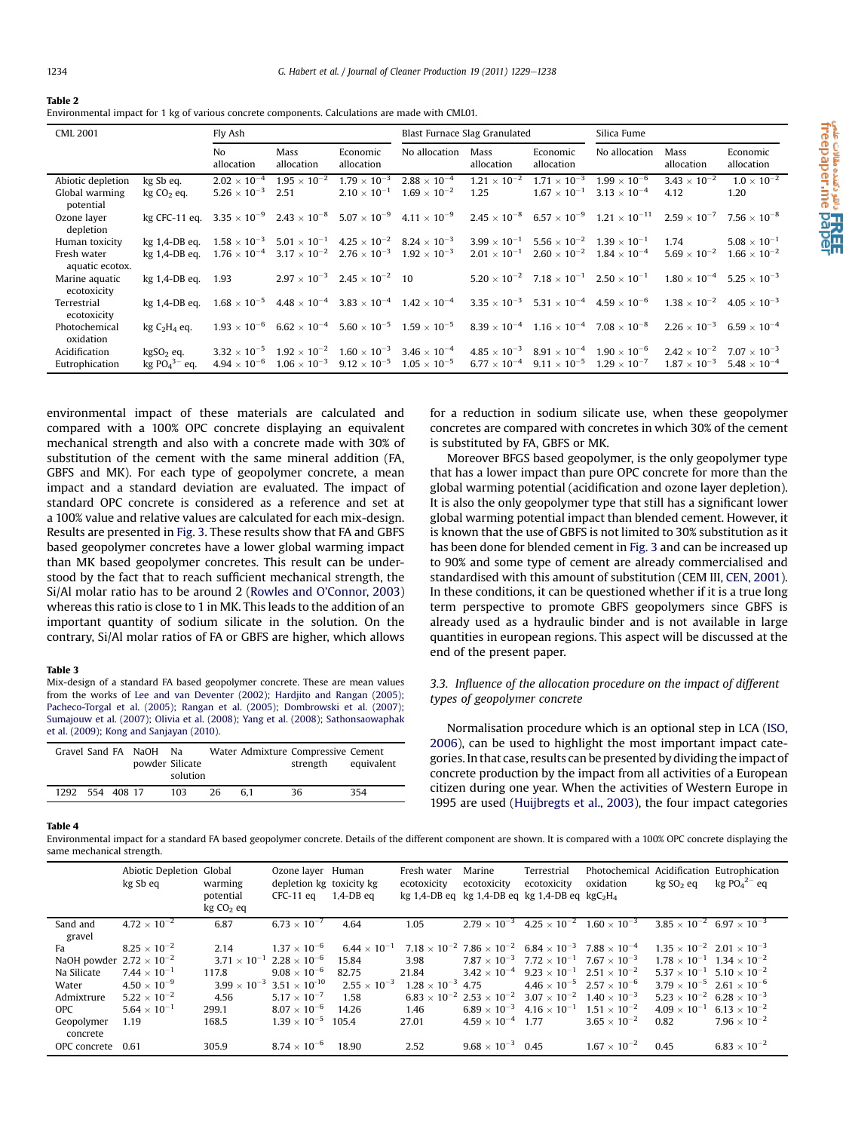<span id="page-5-0"></span>Table 2

| Silica Fume |  |  |
|-------------|--|--|

| Environmental impact for 1 kg of various concrete components. Calculations are made with CML01. |  |
|-------------------------------------------------------------------------------------------------|--|

| <b>CML 2001</b>                |                                                                                                       | Fly Ash                      |                                                                   |                                                |                                                                                         | Blast Furnace Slag Granulated |                                                                   | Silica Fume                                                        |                       |                                             |
|--------------------------------|-------------------------------------------------------------------------------------------------------|------------------------------|-------------------------------------------------------------------|------------------------------------------------|-----------------------------------------------------------------------------------------|-------------------------------|-------------------------------------------------------------------|--------------------------------------------------------------------|-----------------------|---------------------------------------------|
|                                |                                                                                                       | N <sub>0</sub><br>allocation | Mass<br>allocation                                                | Economic<br>allocation                         | No allocation                                                                           | Mass<br>allocation            | Economic<br>allocation                                            | No allocation                                                      | Mass<br>allocation    | Economic<br>allocation                      |
| Abiotic depletion              | kg Sb eq.                                                                                             | $2.02 \times 10^{-4}$        | $1.95 \times 10^{-2}$                                             | $1.79 \times 10^{-3}$                          | $2.88 \times 10^{-4}$                                                                   | $1.21 \times 10^{-2}$         | $1.71 \times 10^{-3}$                                             | $1.99 \times 10^{-6}$                                              | $3.43 \times 10^{-2}$ | $1.0 \times 10^{-2}$                        |
| Global warming<br>potential    | $kg CO2$ eq.                                                                                          | $5.26 \times 10^{-3}$        | 2.51                                                              | $2.10 \times 10^{-1}$                          | $1.69 \times 10^{-2}$                                                                   | 1.25                          | $1.67 \times 10^{-1}$                                             | $3.13 \times 10^{-4}$                                              | 4.12                  | 1.20                                        |
| Ozone layer<br>depletion       | kg CFC-11 eq. $3.35 \times 10^{-9}$ $2.43 \times 10^{-8}$ $5.07 \times 10^{-9}$ $4.11 \times 10^{-9}$ |                              |                                                                   |                                                |                                                                                         |                               |                                                                   | $2.45 \times 10^{-8}$ 6.57 $\times 10^{-9}$ 1.21 $\times 10^{-11}$ | $2.59 \times 10^{-7}$ | $7.56\times10^{-8}$                         |
| Human toxicity                 | kg 1,4-DB eq. $1.58 \times 10^{-3}$ $5.01 \times 10^{-1}$ $4.25 \times 10^{-2}$ $8.24 \times 10^{-3}$ |                              |                                                                   |                                                |                                                                                         |                               | $3.99 \times 10^{-1}$ 5.56 $\times 10^{-2}$ 1.39 $\times 10^{-1}$ |                                                                    | 1.74                  | $5.08 \times 10^{-1}$                       |
| Fresh water<br>aquatic ecotox. | kg 1.4-DB eq. $1.76 \times 10^{-4}$ $3.17 \times 10^{-2}$ $2.76 \times 10^{-3}$                       |                              |                                                                   |                                                | $1.92 \times 10^{-3}$                                                                   | $2.01 \times 10^{-1}$         |                                                                   | $2.60 \times 10^{-2}$ 1.84 $\times 10^{-4}$                        | $5.69 \times 10^{-2}$ | $1.66 \times 10^{-2}$                       |
| Marine aquatic<br>ecotoxicity  | kg 1,4-DB eq. 1.93                                                                                    |                              |                                                                   | $2.97 \times 10^{-3}$ $2.45 \times 10^{-2}$ 10 |                                                                                         |                               | $5.20 \times 10^{-2}$ $7.18 \times 10^{-1}$ $2.50 \times 10^{-1}$ |                                                                    |                       | $1.80 \times 10^{-4}$ 5.25 $\times 10^{-3}$ |
| Terrestrial<br>ecotoxicity     | kg 1.4-DB eq. $1.68 \times 10^{-5}$ $4.48 \times 10^{-4}$ $3.83 \times 10^{-4}$ $1.42 \times 10^{-4}$ |                              |                                                                   |                                                |                                                                                         |                               |                                                                   | $3.35 \times 10^{-3}$ $5.31 \times 10^{-4}$ $4.59 \times 10^{-6}$  |                       | $1.38 \times 10^{-2}$ 4.05 $\times 10^{-3}$ |
| Photochemical<br>oxidation     | $kg C2H4$ eq.                                                                                         |                              |                                                                   |                                                | $1.93 \times 10^{-6}$ 6.62 $\times 10^{-4}$ 5.60 $\times 10^{-5}$ 1.59 $\times 10^{-5}$ |                               | $8.39 \times 10^{-4}$ $1.16 \times 10^{-4}$ $7.08 \times 10^{-8}$ |                                                                    |                       | $2.26 \times 10^{-3}$ 6.59 $\times 10^{-4}$ |
| Acidification                  | $kgSO2$ eq.                                                                                           |                              | $3.32 \times 10^{-5}$ $1.92 \times 10^{-2}$ $1.60 \times 10^{-3}$ |                                                | $3.46 \times 10^{-4}$                                                                   |                               | $4.85 \times 10^{-3}$ $8.91 \times 10^{-4}$ $1.90 \times 10^{-6}$ |                                                                    | $2.42 \times 10^{-2}$ | $7.07\times10^{-3}$                         |
| Eutrophication                 | $kg$ PO $_4^{3-}$ eq.                                                                                 |                              | $4.94 \times 10^{-6}$ $1.06 \times 10^{-3}$                       | $9.12 \times 10^{-5}$                          | $1.05 \times 10^{-5}$                                                                   | $6.77 \times 10^{-4}$         | $9.11 \times 10^{-5}$                                             | $1.29 \times 10^{-7}$                                              | $1.87 \times 10^{-3}$ | $5.48 \times 10^{-4}$                       |

environmental impact of these materials are calculated and compared with a 100% OPC concrete displaying an equivalent mechanical strength and also with a concrete made with 30% of substitution of the cement with the same mineral addition (FA, GBFS and MK). For each type of geopolymer concrete, a mean impact and a standard deviation are evaluated. The impact of standard OPC concrete is considered as a reference and set at a 100% value and relative values are calculated for each mix-design. Results are presented in [Fig. 3.](#page-6-0) These results show that FA and GBFS based geopolymer concretes have a lower global warming impact than MK based geopolymer concretes. This result can be understood by the fact that to reach sufficient mechanical strength, the Si/Al molar ratio has to be around 2 ([Rowles and O](#page-9-0)'Connor, 2003) whereas this ratio is close to 1 in MK. This leads to the addition of an important quantity of sodium silicate in the solution. On the contrary, Si/Al molar ratios of FA or GBFS are higher, which allows

#### Table 3

Mix-design of a standard FA based geopolymer concrete. These are mean values from the works of [Lee and van Deventer \(2002\); Hardjito and Rangan \(2005\);](#page-9-0) [Pacheco-Torgal et al. \(2005\); Rangan et al. \(2005\); Dombrowski et al. \(2007\);](#page-9-0) [Sumajouw et al. \(2007\); Olivia et al. \(2008\); Yang et al. \(2008\); Sathonsaowaphak](#page-9-0) [et al. \(2009\); Kong and Sanjayan \(2010\)](#page-9-0).

|      |            | Gravel Sand FA NaOH Na<br>powder Silicate | solution |    |    | Water Admixture Compressive Cement<br>strength | equivalent |
|------|------------|-------------------------------------------|----------|----|----|------------------------------------------------|------------|
| 1292 | 554 408 17 |                                           | 103      | 26 | 61 | 36                                             | 354        |

for a reduction in sodium silicate use, when these geopolymer concretes are compared with concretes in which 30% of the cement is substituted by FA, GBFS or MK.

Moreover BFGS based geopolymer, is the only geopolymer type that has a lower impact than pure OPC concrete for more than the global warming potential (acidification and ozone layer depletion). It is also the only geopolymer type that still has a significant lower global warming potential impact than blended cement. However, it is known that the use of GBFS is not limited to 30% substitution as it has been done for blended cement in [Fig. 3](#page-6-0) and can be increased up to 90% and some type of cement are already commercialised and standardised with this amount of substitution (CEM III, [CEN, 2001\)](#page-8-0). In these conditions, it can be questioned whether if it is a true long term perspective to promote GBFS geopolymers since GBFS is already used as a hydraulic binder and is not available in large quantities in european regions. This aspect will be discussed at the end of the present paper.

# 3.3. Influence of the allocation procedure on the impact of different types of geopolymer concrete

Normalisation procedure which is an optional step in LCA [\(ISO,](#page-9-0) [2006](#page-9-0)), can be used to highlight the most important impact categories. In that case, results can be presented by dividing the impact of concrete production by the impact from all activities of a European citizen during one year. When the activities of Western Europe in 1995 are used ([Huijbregts et al., 2003](#page-8-0)), the four impact categories

# Table 4

Environmental impact for a standard FA based geopolymer concrete. Details of the different component are shown. It is compared with a 100% OPC concrete displaying the same mechanical strength.

|                                   | Abiotic Depletion Global<br>kg Sb eq | warming<br>potential<br>kg CO <sub>2</sub> eq | Ozone layer Human<br>depletion kg toxicity kg<br>$CFC-11$ eq $1,4-DB$ eq |                       | Fresh water<br>ecotoxicity | Marine<br>ecotoxicity                                             | Terrestrial<br>ecotoxicity<br>kg 1,4-DB eq kg 1,4-DB eq kg 1,4-DB eq kg $C_2H_4$        | oxidation             | $kg SO2$ eq                                 | Photochemical Acidification Eutrophication<br>$kg$ PO <sub>4</sub> <sup>2-</sup> eq |
|-----------------------------------|--------------------------------------|-----------------------------------------------|--------------------------------------------------------------------------|-----------------------|----------------------------|-------------------------------------------------------------------|-----------------------------------------------------------------------------------------|-----------------------|---------------------------------------------|-------------------------------------------------------------------------------------|
| Sand and                          | $4.72 \times 10^{-2}$                | 6.87                                          | $6.73 \times 10^{-7}$                                                    | 4.64                  | 1.05                       | $2.79 \times 10^{-3}$                                             | $4.25 \times 10^{-2}$                                                                   | $1.60 \times 10^{-3}$ | $3.85 \times 10^{-2}$ 6.97 $\times 10^{-3}$ |                                                                                     |
| gravel                            |                                      |                                               |                                                                          |                       |                            |                                                                   |                                                                                         |                       |                                             |                                                                                     |
| Fa                                | $8.25 \times 10^{-2}$                | 2.14                                          | $1.37 \times 10^{-6}$                                                    | $6.44\times10^{-1}$   |                            |                                                                   | $7.18 \times 10^{-2}$ $7.86 \times 10^{-2}$ $6.84 \times 10^{-3}$ $7.88 \times 10^{-4}$ |                       | $1.35 \times 10^{-2}$ $2.01 \times 10^{-3}$ |                                                                                     |
| NaOH powder $2.72 \times 10^{-2}$ |                                      | $3.71 \times 10^{-1}$                         | $2.28 \times 10^{-6}$                                                    | 15.84                 | 3.98                       |                                                                   | $7.87 \times 10^{-3}$ $7.72 \times 10^{-1}$ $7.67 \times 10^{-3}$                       |                       | $1.78 \times 10^{-1}$ 1.34 $\times 10^{-2}$ |                                                                                     |
| Na Silicate                       | $7.44 \times 10^{-1}$                | 117.8                                         | $9.08 \times 10^{-6}$                                                    | 82.75                 | 21.84                      |                                                                   | $3.42 \times 10^{-4}$ $9.23 \times 10^{-1}$ $2.51 \times 10^{-2}$                       |                       | $5.37 \times 10^{-1}$ $5.10 \times 10^{-2}$ |                                                                                     |
| Water                             | $4.50 \times 10^{-9}$                | $3.99 \times 10^{-3}$                         | $3.51 \times 10^{-10}$                                                   | $2.55 \times 10^{-3}$ | $1.28 \times 10^{-3}$      | 4.75                                                              | $4.46 \times 10^{-5}$ $2.57 \times 10^{-6}$                                             |                       | $3.79 \times 10^{-5}$ $2.61 \times 10^{-6}$ |                                                                                     |
| Admixtrure                        | $5.22 \times 10^{-2}$                | 4.56                                          | $5.17 \times 10^{-7}$                                                    | 1.58                  |                            | $6.83 \times 10^{-2}$ $2.53 \times 10^{-2}$ $3.07 \times 10^{-2}$ |                                                                                         | $1.40 \times 10^{-3}$ | $5.23 \times 10^{-2}$ 6.28 $\times 10^{-3}$ |                                                                                     |
| <b>OPC</b>                        | $5.64 \times 10^{-1}$                | 299.1                                         | $8.07 \times 10^{-6}$                                                    | 14.26                 | 1.46                       | $6.89 \times 10^{-3}$                                             | $4.16 \times 10^{-1}$                                                                   | $1.51 \times 10^{-2}$ | $4.09 \times 10^{-1}$                       | $6.13 \times 10^{-2}$                                                               |
| Geopolymer<br>concrete            | 1.19                                 | 168.5                                         | $1.39 \times 10^{-5}$                                                    | 105.4                 | 27.01                      | $4.59 \times 10^{-4}$ 1.77                                        |                                                                                         | $3.65 \times 10^{-2}$ | 0.82                                        | $7.96 \times 10^{-2}$                                                               |
| OPC concrete                      | 0.61                                 | 305.9                                         | $8.74 \times 10^{-6}$                                                    | 18.90                 | 2.52                       | $9.68 \times 10^{-3}$ 0.45                                        |                                                                                         | $1.67 \times 10^{-2}$ | 0.45                                        | $6.83 \times 10^{-2}$                                                               |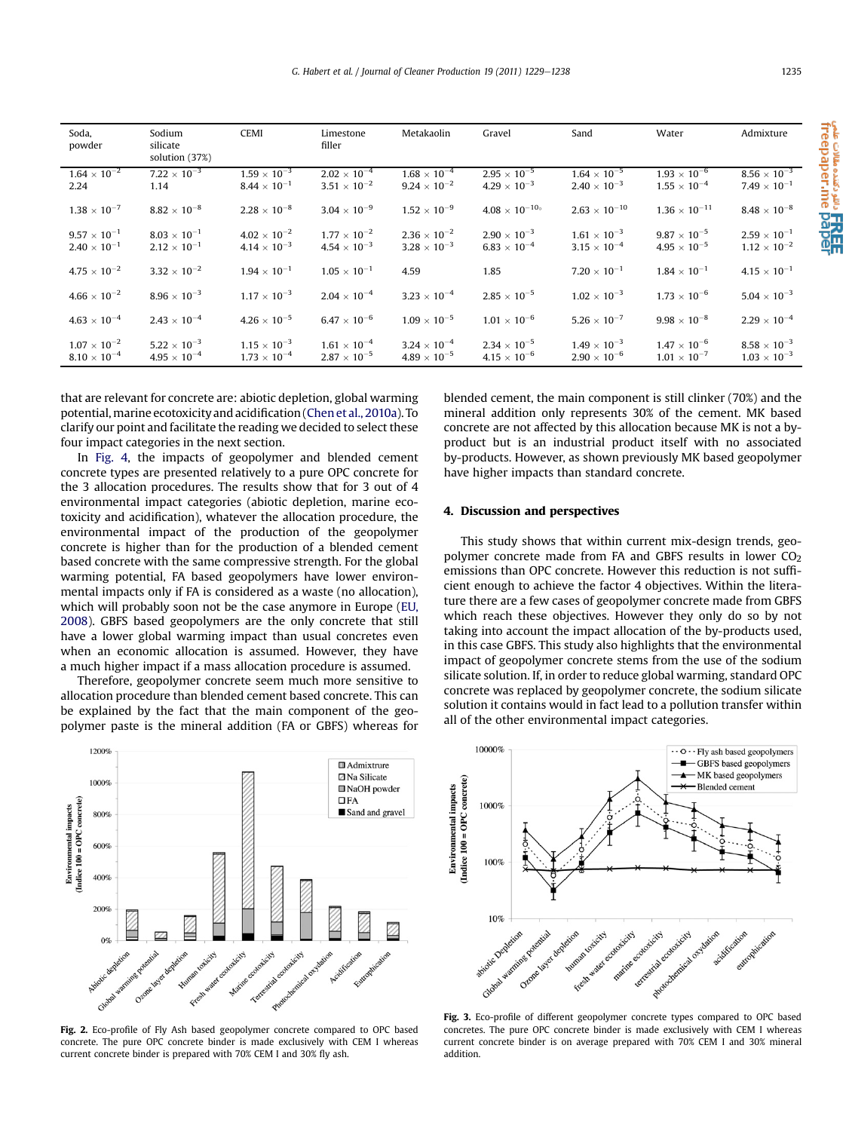<span id="page-6-0"></span>

| Soda,<br>powder                                | Sodium<br>silicate<br>solution (37%)           | <b>CEMI</b>                                    | Limestone<br>filler                            | Metakaolin                                     | Gravel                                         | Sand                                           | Water                                          | Admixture                                      |
|------------------------------------------------|------------------------------------------------|------------------------------------------------|------------------------------------------------|------------------------------------------------|------------------------------------------------|------------------------------------------------|------------------------------------------------|------------------------------------------------|
| $1.64 \times 10^{-2}$<br>2.24                  | $7.22 \times 10^{-3}$<br>1.14                  | $1.59 \times 10^{-3}$<br>$8.44 \times 10^{-1}$ | $2.02 \times 10^{-4}$<br>$3.51 \times 10^{-2}$ | $1.68\times10^{-4}$<br>$9.24 \times 10^{-2}$   | $2.95 \times 10^{-5}$<br>$4.29 \times 10^{-3}$ | $1.64 \times 10^{-5}$<br>$2.40 \times 10^{-3}$ | $1.93 \times 10^{-6}$<br>$1.55 \times 10^{-4}$ | $8.56 \times 10^{-3}$<br>$7.49 \times 10^{-1}$ |
| $1.38 \times 10^{-7}$                          | $8.82 \times 10^{-8}$                          | $2.28\times10^{-8}$                            | $3.04 \times 10^{-9}$                          | $1.52 \times 10^{-9}$                          | $4.08\times10^{-10}$                           | $2.63 \times 10^{-10}$                         | $1.36 \times 10^{-11}$                         | $8.48 \times 10^{-8}$                          |
| $9.57 \times 10^{-1}$<br>$2.40 \times 10^{-1}$ | $8.03 \times 10^{-1}$<br>$2.12 \times 10^{-1}$ | $4.02 \times 10^{-2}$<br>$4.14 \times 10^{-3}$ | $1.77 \times 10^{-2}$<br>$4.54 \times 10^{-3}$ | $2.36 \times 10^{-2}$<br>$3.28 \times 10^{-3}$ | $2.90 \times 10^{-3}$<br>$6.83 \times 10^{-4}$ | $1.61 \times 10^{-3}$<br>$3.15 \times 10^{-4}$ | $9.87 \times 10^{-5}$<br>$4.95 \times 10^{-5}$ | $2.59 \times 10^{-1}$<br>$1.12 \times 10^{-2}$ |
| $4.75 \times 10^{-2}$                          | $3.32 \times 10^{-2}$                          | $1.94 \times 10^{-1}$                          | $1.05 \times 10^{-1}$                          | 4.59                                           | 1.85                                           | $7.20 \times 10^{-1}$                          | $1.84 \times 10^{-1}$                          | $4.15 \times 10^{-1}$                          |
| $4.66 \times 10^{-2}$                          | $8.96 \times 10^{-3}$                          | $1.17 \times 10^{-3}$                          | $2.04 \times 10^{-4}$                          | $3.23 \times 10^{-4}$                          | $2.85 \times 10^{-5}$                          | $1.02 \times 10^{-3}$                          | $1.73 \times 10^{-6}$                          | $5.04 \times 10^{-3}$                          |
| $4.63 \times 10^{-4}$                          | $2.43 \times 10^{-4}$                          | $4.26 \times 10^{-5}$                          | $6.47 \times 10^{-6}$                          | $1.09 \times 10^{-5}$                          | $1.01 \times 10^{-6}$                          | $5.26 \times 10^{-7}$                          | $9.98 \times 10^{-8}$                          | $2.29 \times 10^{-4}$                          |
| $1.07 \times 10^{-2}$<br>$8.10 \times 10^{-4}$ | $5.22 \times 10^{-3}$<br>$4.95 \times 10^{-4}$ | $1.15 \times 10^{-3}$<br>$1.73 \times 10^{-4}$ | $1.61 \times 10^{-4}$<br>$2.87 \times 10^{-5}$ | $3.24 \times 10^{-4}$<br>$4.89 \times 10^{-5}$ | $2.34 \times 10^{-5}$<br>$4.15 \times 10^{-6}$ | $1.49 \times 10^{-3}$<br>$2.90 \times 10^{-6}$ | $1.47\times10^{-6}$<br>$1.01 \times 10^{-7}$   | $8.58\times10^{-3}$<br>$1.03 \times 10^{-3}$   |

that are relevant for concrete are: abiotic depletion, global warming potential, marine ecotoxicity and acidification [\(Chen et al., 2010a\)](#page-8-0). To clarify our point and facilitate the reading we decided to select these four impact categories in the next section.

In [Fig. 4,](#page-7-0) the impacts of geopolymer and blended cement concrete types are presented relatively to a pure OPC concrete for the 3 allocation procedures. The results show that for 3 out of 4 environmental impact categories (abiotic depletion, marine ecotoxicity and acidification), whatever the allocation procedure, the environmental impact of the production of the geopolymer concrete is higher than for the production of a blended cement based concrete with the same compressive strength. For the global warming potential, FA based geopolymers have lower environmental impacts only if FA is considered as a waste (no allocation), which will probably soon not be the case anymore in Europe [\(EU,](#page-8-0) [2008\)](#page-8-0). GBFS based geopolymers are the only concrete that still have a lower global warming impact than usual concretes even when an economic allocation is assumed. However, they have a much higher impact if a mass allocation procedure is assumed.

Therefore, geopolymer concrete seem much more sensitive to allocation procedure than blended cement based concrete. This can be explained by the fact that the main component of the geopolymer paste is the mineral addition (FA or GBFS) whereas for

1200% **■ Admixtrure □** Na Silicate 1000% NaOH powder  $\Box$ FA Indice  $100 = \text{OPC}$  concrete) Environmental impacts Sand and gravel 8009 600% 400% 200%  $0%$ Pro

Fig. 2. Eco-profile of Fly Ash based geopolymer concrete compared to OPC based concrete. The pure OPC concrete binder is made exclusively with CEM I whereas current concrete binder is prepared with 70% CEM I and 30% fly ash.

blended cement, the main component is still clinker (70%) and the mineral addition only represents 30% of the cement. MK based concrete are not affected by this allocation because MK is not a byproduct but is an industrial product itself with no associated by-products. However, as shown previously MK based geopolymer have higher impacts than standard concrete.

## 4. Discussion and perspectives

This study shows that within current mix-design trends, geopolymer concrete made from FA and GBFS results in lower  $CO<sub>2</sub>$ emissions than OPC concrete. However this reduction is not sufficient enough to achieve the factor 4 objectives. Within the literature there are a few cases of geopolymer concrete made from GBFS which reach these objectives. However they only do so by not taking into account the impact allocation of the by-products used, in this case GBFS. This study also highlights that the environmental impact of geopolymer concrete stems from the use of the sodium silicate solution. If, in order to reduce global warming, standard OPC concrete was replaced by geopolymer concrete, the sodium silicate solution it contains would in fact lead to a pollution transfer within all of the other environmental impact categories.



Fig. 3. Eco-profile of different geopolymer concrete types compared to OPC based concretes. The pure OPC concrete binder is made exclusively with CEM I whereas current concrete binder is on average prepared with 70% CEM I and 30% mineral addition.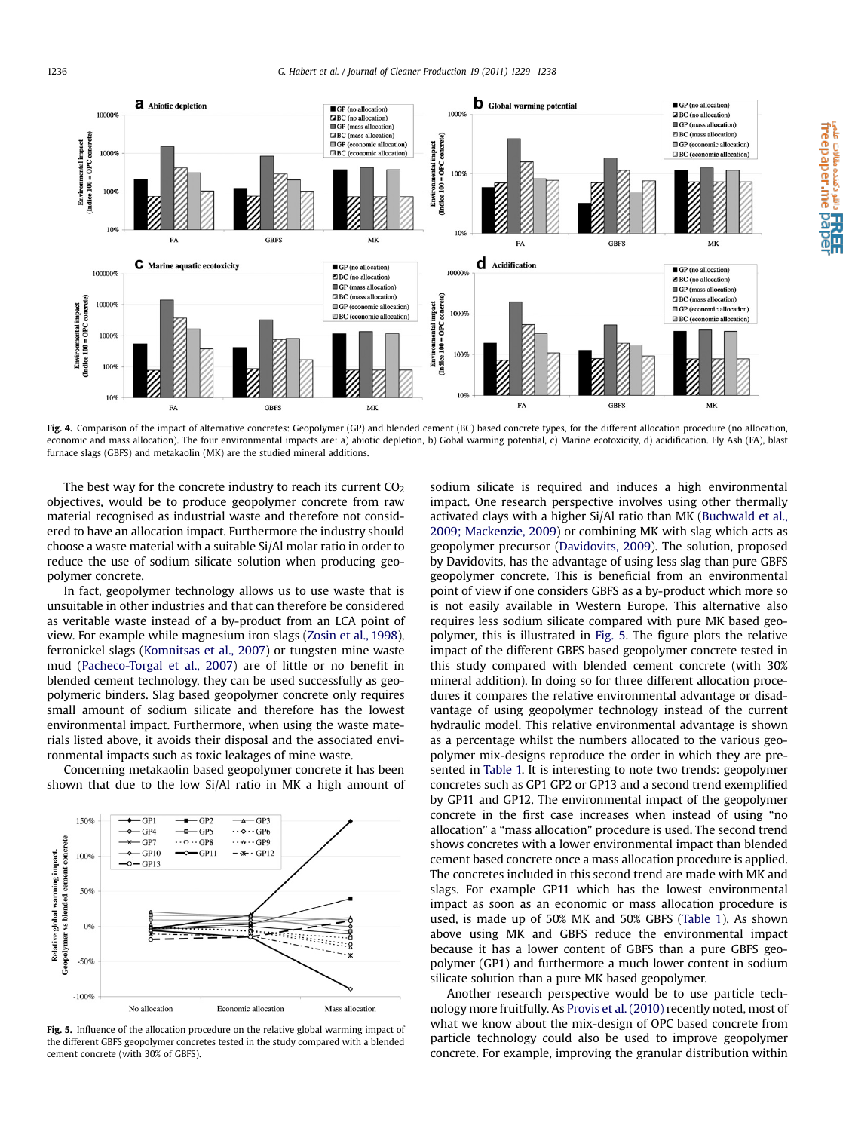<span id="page-7-0"></span>

Fig. 4. Comparison of the impact of alternative concretes: Geopolymer (GP) and blended cement (BC) based concrete types, for the different allocation procedure (no allocation, economic and mass allocation). The four environmental impacts are: a) abiotic depletion, b) Gobal warming potential, c) Marine ecotoxicity, d) acidification. Fly Ash (FA), blast furnace slags (GBFS) and metakaolin (MK) are the studied mineral additions.

The best way for the concrete industry to reach its current  $CO<sub>2</sub>$ objectives, would be to produce geopolymer concrete from raw material recognised as industrial waste and therefore not considered to have an allocation impact. Furthermore the industry should choose a waste material with a suitable Si/Al molar ratio in order to reduce the use of sodium silicate solution when producing geopolymer concrete.

In fact, geopolymer technology allows us to use waste that is unsuitable in other industries and that can therefore be considered as veritable waste instead of a by-product from an LCA point of view. For example while magnesium iron slags ([Zosin et al., 1998\)](#page-9-0), ferronickel slags [\(Komnitsas et al., 2007](#page-9-0)) or tungsten mine waste mud [\(Pacheco-Torgal et al., 2007\)](#page-9-0) are of little or no benefit in blended cement technology, they can be used successfully as geopolymeric binders. Slag based geopolymer concrete only requires small amount of sodium silicate and therefore has the lowest environmental impact. Furthermore, when using the waste materials listed above, it avoids their disposal and the associated environmental impacts such as toxic leakages of mine waste.

Concerning metakaolin based geopolymer concrete it has been shown that due to the low Si/Al ratio in MK a high amount of



Fig. 5. Influence of the allocation procedure on the relative global warming impact of the different GBFS geopolymer concretes tested in the study compared with a blended cement concrete (with 30% of GBFS).

sodium silicate is required and induces a high environmental impact. One research perspective involves using other thermally activated clays with a higher Si/Al ratio than MK ([Buchwald et al.,](#page-8-0) [2009; Mackenzie, 2009](#page-8-0)) or combining MK with slag which acts as geopolymer precursor [\(Davidovits, 2009\)](#page-8-0). The solution, proposed by Davidovits, has the advantage of using less slag than pure GBFS geopolymer concrete. This is beneficial from an environmental point of view if one considers GBFS as a by-product which more so is not easily available in Western Europe. This alternative also requires less sodium silicate compared with pure MK based geopolymer, this is illustrated in Fig. 5. The figure plots the relative impact of the different GBFS based geopolymer concrete tested in this study compared with blended cement concrete (with 30% mineral addition). In doing so for three different allocation procedures it compares the relative environmental advantage or disadvantage of using geopolymer technology instead of the current hydraulic model. This relative environmental advantage is shown as a percentage whilst the numbers allocated to the various geopolymer mix-designs reproduce the order in which they are presented in [Table 1.](#page-2-0) It is interesting to note two trends: geopolymer concretes such as GP1 GP2 or GP13 and a second trend exemplified by GP11 and GP12. The environmental impact of the geopolymer concrete in the first case increases when instead of using "no allocation" a "mass allocation" procedure is used. The second trend shows concretes with a lower environmental impact than blended cement based concrete once a mass allocation procedure is applied. The concretes included in this second trend are made with MK and slags. For example GP11 which has the lowest environmental impact as soon as an economic or mass allocation procedure is used, is made up of 50% MK and 50% GBFS ([Table 1\)](#page-2-0). As shown above using MK and GBFS reduce the environmental impact because it has a lower content of GBFS than a pure GBFS geopolymer (GP1) and furthermore a much lower content in sodium silicate solution than a pure MK based geopolymer.

Another research perspective would be to use particle technology more fruitfully. As [Provis et al. \(2010\)](#page-9-0) recently noted, most of what we know about the mix-design of OPC based concrete from particle technology could also be used to improve geopolymer concrete. For example, improving the granular distribution within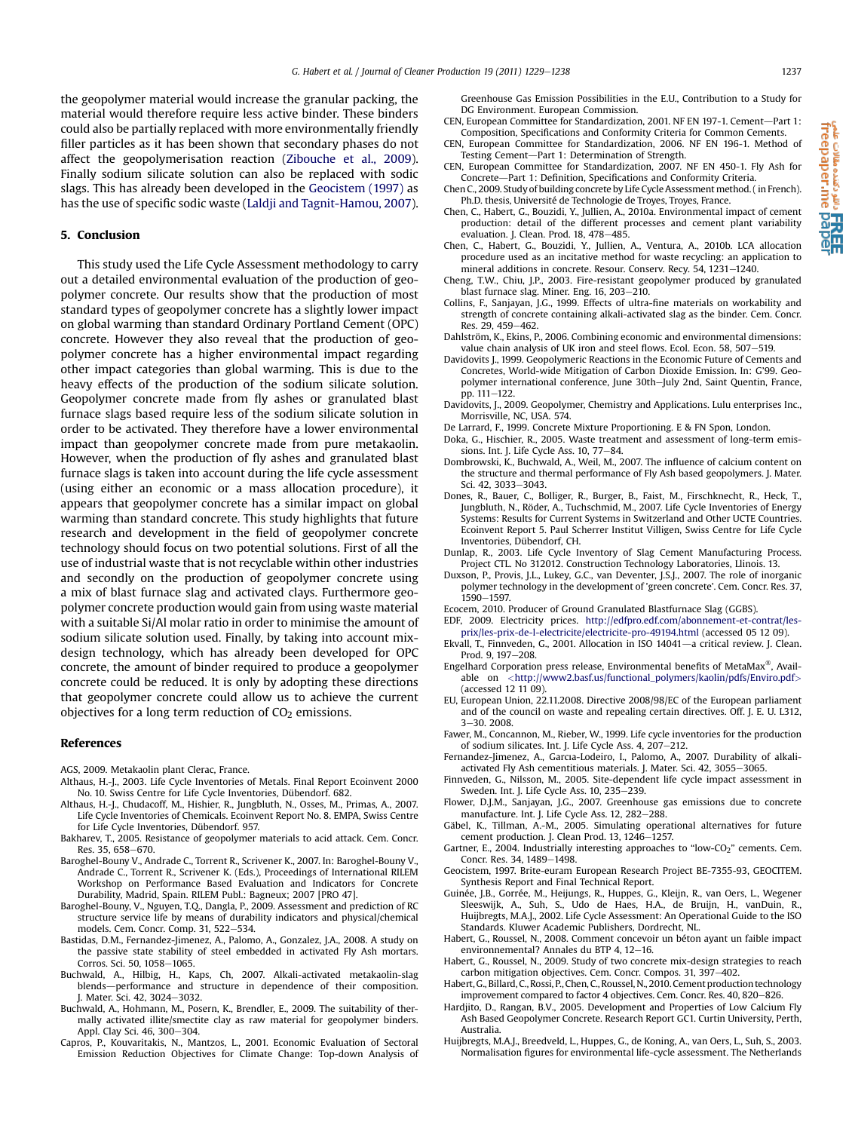<span id="page-8-0"></span>the geopolymer material would increase the granular packing, the material would therefore require less active binder. These binders could also be partially replaced with more environmentally friendly filler particles as it has been shown that secondary phases do not affect the geopolymerisation reaction [\(Zibouche et al., 2009\)](#page-9-0). Finally sodium silicate solution can also be replaced with sodic slags. This has already been developed in the Geocistem (1997) as has the use of specific sodic waste [\(Laldji and Tagnit-Hamou, 2007\)](#page-9-0).

## 5. Conclusion

This study used the Life Cycle Assessment methodology to carry out a detailed environmental evaluation of the production of geopolymer concrete. Our results show that the production of most standard types of geopolymer concrete has a slightly lower impact on global warming than standard Ordinary Portland Cement (OPC) concrete. However they also reveal that the production of geopolymer concrete has a higher environmental impact regarding other impact categories than global warming. This is due to the heavy effects of the production of the sodium silicate solution. Geopolymer concrete made from fly ashes or granulated blast furnace slags based require less of the sodium silicate solution in order to be activated. They therefore have a lower environmental impact than geopolymer concrete made from pure metakaolin. However, when the production of fly ashes and granulated blast furnace slags is taken into account during the life cycle assessment (using either an economic or a mass allocation procedure), it appears that geopolymer concrete has a similar impact on global warming than standard concrete. This study highlights that future research and development in the field of geopolymer concrete technology should focus on two potential solutions. First of all the use of industrial waste that is not recyclable within other industries and secondly on the production of geopolymer concrete using a mix of blast furnace slag and activated clays. Furthermore geopolymer concrete production would gain from using waste material with a suitable Si/Al molar ratio in order to minimise the amount of sodium silicate solution used. Finally, by taking into account mixdesign technology, which has already been developed for OPC concrete, the amount of binder required to produce a geopolymer concrete could be reduced. It is only by adopting these directions that geopolymer concrete could allow us to achieve the current objectives for a long term reduction of  $CO<sub>2</sub>$  emissions.

#### References

AGS, 2009. Metakaolin plant Clerac, France.

- Althaus, H.-J., 2003. Life Cycle Inventories of Metals. Final Report Ecoinvent 2000 No. 10. Swiss Centre for Life Cycle Inventories, Dübendorf. 682.
- Althaus, H.-J., Chudacoff, M., Hishier, R., Jungbluth, N., Osses, M., Primas, A., 2007. Life Cycle Inventories of Chemicals. Ecoinvent Report No. 8. EMPA, Swiss Centre for Life Cycle Inventories, Dübendorf. 957.
- Bakharev, T., 2005. Resistance of geopolymer materials to acid attack. Cem. Concr. Res. 35, 658-670.
- Baroghel-Bouny V., Andrade C., Torrent R., Scrivener K., 2007. In: Baroghel-Bouny V., Andrade C., Torrent R., Scrivener K. (Eds.), Proceedings of International RILEM Workshop on Performance Based Evaluation and Indicators for Concrete Durability, Madrid, Spain. RILEM Publ.: Bagneux; 2007 [PRO 47].
- Baroghel-Bouny, V., Nguyen, T.Q., Dangla, P., 2009. Assessment and prediction of RC structure service life by means of durability indicators and physical/chemical models. Cem. Concr. Comp. 31, 522-534.
- Bastidas, D.M., Fernandez-Jimenez, A., Palomo, A., Gonzalez, J.A., 2008. A study on the passive state stability of steel embedded in activated Fly Ash mortars. Corros. Sci. 50, 1058-1065.
- Buchwald, A., Hilbig, H., Kaps, Ch, 2007. Alkali-activated metakaolin-slag blends-performance and structure in dependence of their composition. J. Mater. Sci. 42, 3024-3032.
- Buchwald, A., Hohmann, M., Posern, K., Brendler, E., 2009. The suitability of thermally activated illite/smectite clay as raw material for geopolymer binders. Appl. Clay Sci. 46, 300-304.
- Capros, P., Kouvaritakis, N., Mantzos, L., 2001. Economic Evaluation of Sectoral Emission Reduction Objectives for Climate Change: Top-down Analysis of

Greenhouse Gas Emission Possibilities in the E.U., Contribution to a Study for DG Environment. European Commission.

- CEN, European Committee for Standardization, 2001. NF EN 197-1. Cement-Part 1: Composition, Specifications and Conformity Criteria for Common Cements.
- CEN, European Committee for Standardization, 2006. NF EN 196-1. Method of Testing Cement-Part 1: Determination of Strength.
- CEN, European Committee for Standardization, 2007. NF EN 450-1. Fly Ash for Concrete-Part 1: Definition, Specifications and Conformity Criteria.
- Chen C., 2009. Study of building concrete by Life Cycle Assessment method. ( in French). Ph.D. thesis, Université de Technologie de Troyes, Troyes, France.
- Chen, C., Habert, G., Bouzidi, Y., Jullien, A., 2010a. Environmental impact of cement production: detail of the different processes and cement plant variability evaluation. J. Clean. Prod. 18, 478-485.
- Chen, C., Habert, G., Bouzidi, Y., Jullien, A., Ventura, A., 2010b. LCA allocation procedure used as an incitative method for waste recycling: an application to mineral additions in concrete. Resour. Conserv. Recy. 54, 1231-1240.
- Cheng, T.W., Chiu, J.P., 2003. Fire-resistant geopolymer produced by granulated blast furnace slag. Miner. Eng. 16, 203-210.
- Collins, F., Sanjayan, J.G., 1999. Effects of ultra-fine materials on workability and strength of concrete containing alkali-activated slag as the binder. Cem. Concr.  $Res. 29, 459 - 462$
- Dahlström, K., Ekins, P., 2006. Combining economic and environmental dimensions: value chain analysis of UK iron and steel flows. Ecol. Econ. 58, 507-519.
- Davidovits J., 1999. Geopolymeric Reactions in the Economic Future of Cements and Concretes, World-wide Mitigation of Carbon Dioxide Emission. In: G'99. Geopolymer international conference, June 30th-July 2nd, Saint Quentin, France, pp. 111-122.
- Davidovits, J., 2009. Geopolymer, Chemistry and Applications. Lulu enterprises Inc., Morrisville, NC, USA. 574.
- De Larrard, F., 1999. Concrete Mixture Proportioning. E & FN Spon, London.
- Doka, G., Hischier, R., 2005. Waste treatment and assessment of long-term emissions. Int. J. Life Cycle Ass. 10, 77-84.
- Dombrowski, K., Buchwald, A., Weil, M., 2007. The influence of calcium content on the structure and thermal performance of Fly Ash based geopolymers. J. Mater. Sci. 42, 3033-3043.
- Dones, R., Bauer, C., Bolliger, R., Burger, B., Faist, M., Firschknecht, R., Heck, T., Jungbluth, N., Röder, A., Tuchschmid, M., 2007. Life Cycle Inventories of Energy Systems: Results for Current Systems in Switzerland and Other UCTE Countries. Ecoinvent Report 5. Paul Scherrer Institut Villigen, Swiss Centre for Life Cycle Inventories, Dübendorf, CH.
- Dunlap, R., 2003. Life Cycle Inventory of Slag Cement Manufacturing Process. Project CTL. No 312012. Construction Technology Laboratories, Llinois. 13.
- Duxson, P., Provis, J.L., Lukey, G.C., van Deventer, J.S.J., 2007. The role of inorganic polymer technology in the development of 'green concrete'. Cem. Concr. Res. 37, 1590-1597

Ecocem, 2010. Producer of Ground Granulated Blastfurnace Slag (GGBS).

EDF, 2009. Electricity prices. [http://edfpro.edf.com/abonnement-et-contrat/les](http://edfpro.edf.com/abonnement-et-contrat/les-prix/les-prix-de-l-electricite/electricite-pro-49194.html)[prix/les-prix-de-l-electricite/electricite-pro-49194.html](http://edfpro.edf.com/abonnement-et-contrat/les-prix/les-prix-de-l-electricite/electricite-pro-49194.html) (accessed 05 12 09).

- Ekvall, T., Finnveden, G., 2001. Allocation in ISO 14041-a critical review. J. Clean. Prod. 9, 197-208.
- Engelhard Corporation press release, Environmental benefits of MetaMax<sup>®</sup>, Avail-<br>able on <http://www2.basf.us/functional polymers/kaolin/pdfs/Enviro.pdf> <[http://www2.basf.us/functional\\_polymers/kaolin/pdfs/Enviro.pdf](http://www2.basf.us/functional_polymers/kaolin/pdfs/Enviro.pdf)> (accessed 12 11 09).
- EU, European Union, 22.11.2008. Directive 2008/98/EC of the European parliament and of the council on waste and repealing certain directives. Off. J. E. U. L312,  $3 - 30.2008$ .
- Fawer, M., Concannon, M., Rieber, W., 1999. Life cycle inventories for the production of sodium silicates. Int. J. Life Cycle Ass. 4, 207-212.
- Fernandez-Jimenez, A., Garcıa-Lodeiro, I., Palomo, A., 2007. Durability of alkaliactivated Fly Ash cementitious materials. J. Mater. Sci. 42, 3055-3065.
- Finnveden, G., Nilsson, M., 2005. Site-dependent life cycle impact assessment in Sweden. Int. J. Life Cycle Ass. 10, 235-239.
- Flower, D.J.M., Sanjayan, J.G., 2007. Greenhouse gas emissions due to concrete manufacture. Int. J. Life Cycle Ass. 12, 282-288.
- Gäbel, K., Tillman, A.-M., 2005. Simulating operational alternatives for future cement production. J. Clean Prod. 13, 1246-1257.
- Gartner, E., 2004. Industrially interesting approaches to "low-CO<sub>2</sub>" cements. Cem. Concr. Res. 34, 1489-1498.
- Geocistem, 1997. Brite-euram European Research Project BE-7355-93, GEOCITEM. Synthesis Report and Final Technical Report.
- Guinée, J.B., Gorrée, M., Heijungs, R., Huppes, G., Kleijn, R., van Oers, L., Wegener Sleeswijk, A., Suh, S., Udo de Haes, H.A., de Bruijn, H., vanDuin, R., Huijbregts, M.A.J., 2002. Life Cycle Assessment: An Operational Guide to the ISO Standards. Kluwer Academic Publishers, Dordrecht, NL.
- Habert, G., Roussel, N., 2008. Comment concevoir un béton ayant un faible impact environnemental? Annales du BTP 4, 12-16.
- Habert, G., Roussel, N., 2009. Study of two concrete mix-design strategies to reach carbon mitigation objectives. Cem. Concr. Compos. 31, 397-402.
- Habert,G., Billard, C., Rossi, P., Chen, C., Roussel, N., 2010. Cement production technology improvement compared to factor 4 objectives. Cem. Concr. Res. 40, 820-826.
- Hardjito, D., Rangan, B.V., 2005. Development and Properties of Low Calcium Fly Ash Based Geopolymer Concrete. Research Report GC1. Curtin University, Perth, Australia.
- Huijbregts, M.A.J., Breedveld, L., Huppes, G., de Koning, A., van Oers, L., Suh, S., 2003. Normalisation figures for environmental life-cycle assessment. The Netherlands

دائلو دکتنده مقالات علمی<br>Treepaper.me

**ERSEE**